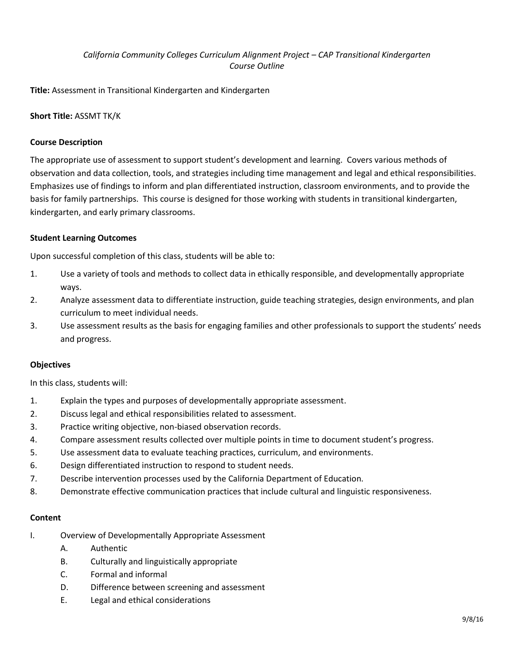# *California Community Colleges Curriculum Alignment Project – CAP Transitional Kindergarten Course Outline*

**Title:** Assessment in Transitional Kindergarten and Kindergarten

## **Short Title:** ASSMT TK/K

### **Course Description**

The appropriate use of assessment to support student's development and learning. Covers various methods of observation and data collection, tools, and strategies including time management and legal and ethical responsibilities. Emphasizes use of findings to inform and plan differentiated instruction, classroom environments, and to provide the basis for family partnerships. This course is designed for those working with students in transitional kindergarten, kindergarten, and early primary classrooms.

### **Student Learning Outcomes**

Upon successful completion of this class, students will be able to:

- 1. Use a variety of tools and methods to collect data in ethically responsible, and developmentally appropriate ways.
- 2. Analyze assessment data to differentiate instruction, guide teaching strategies, design environments, and plan curriculum to meet individual needs.
- 3. Use assessment results as the basis for engaging families and other professionals to support the students' needs and progress.

#### **Objectives**

In this class, students will:

- 1. Explain the types and purposes of developmentally appropriate assessment.
- 2. Discuss legal and ethical responsibilities related to assessment.
- 3. Practice writing objective, non-biased observation records.
- 4. Compare assessment results collected over multiple points in time to document student's progress.
- 5. Use assessment data to evaluate teaching practices, curriculum, and environments.
- 6. Design differentiated instruction to respond to student needs.
- 7. Describe intervention processes used by the California Department of Education.
- 8. Demonstrate effective communication practices that include cultural and linguistic responsiveness.

## **Content**

- I. Overview of Developmentally Appropriate Assessment
	- A. Authentic
	- B. Culturally and linguistically appropriate
	- C. Formal and informal
	- D. Difference between screening and assessment
	- E. Legal and ethical considerations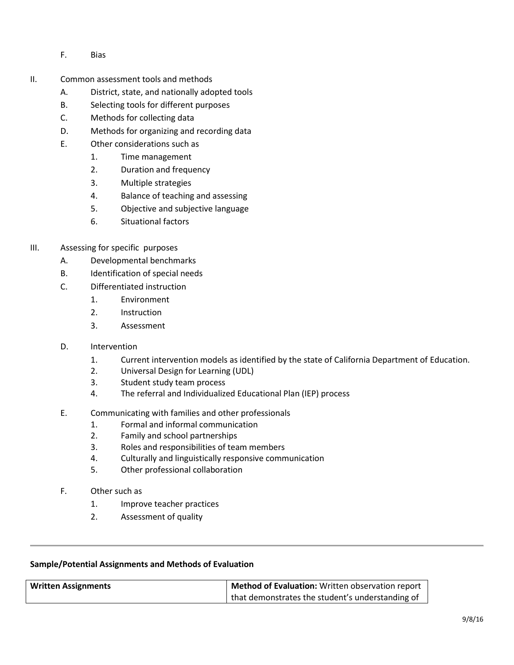- F. Bias
- II. Common assessment tools and methods
	- A. District, state, and nationally adopted tools
	- B. Selecting tools for different purposes
	- C. Methods for collecting data
	- D. Methods for organizing and recording data
	- E. Other considerations such as
		- 1. Time management
		- 2. Duration and frequency
		- 3. Multiple strategies
		- 4. Balance of teaching and assessing
		- 5. Objective and subjective language
		- 6. Situational factors
- III. Assessing for specific purposes
	- A. Developmental benchmarks
	- B. Identification of special needs
	- C. Differentiated instruction
		- 1. Environment
		- 2. Instruction
		- 3. Assessment
	- D. Intervention
		- 1. Current intervention models as identified by the state of California Department of Education.
		- 2. Universal Design for Learning (UDL)
		- 3. Student study team process
		- 4. The referral and Individualized Educational Plan (IEP) process
	- E. Communicating with families and other professionals
		- 1. Formal and informal communication
		- 2. Family and school partnerships
		- 3. Roles and responsibilities of team members
		- 4. Culturally and linguistically responsive communication
		- 5. Other professional collaboration
	- F. Other such as
		- 1. Improve teacher practices
		- 2. Assessment of quality

## **Sample/Potential Assignments and Methods of Evaluation**

| <b>Written Assignments</b> | Method of Evaluation: Written observation report   |
|----------------------------|----------------------------------------------------|
|                            | I that demonstrates the student's understanding of |